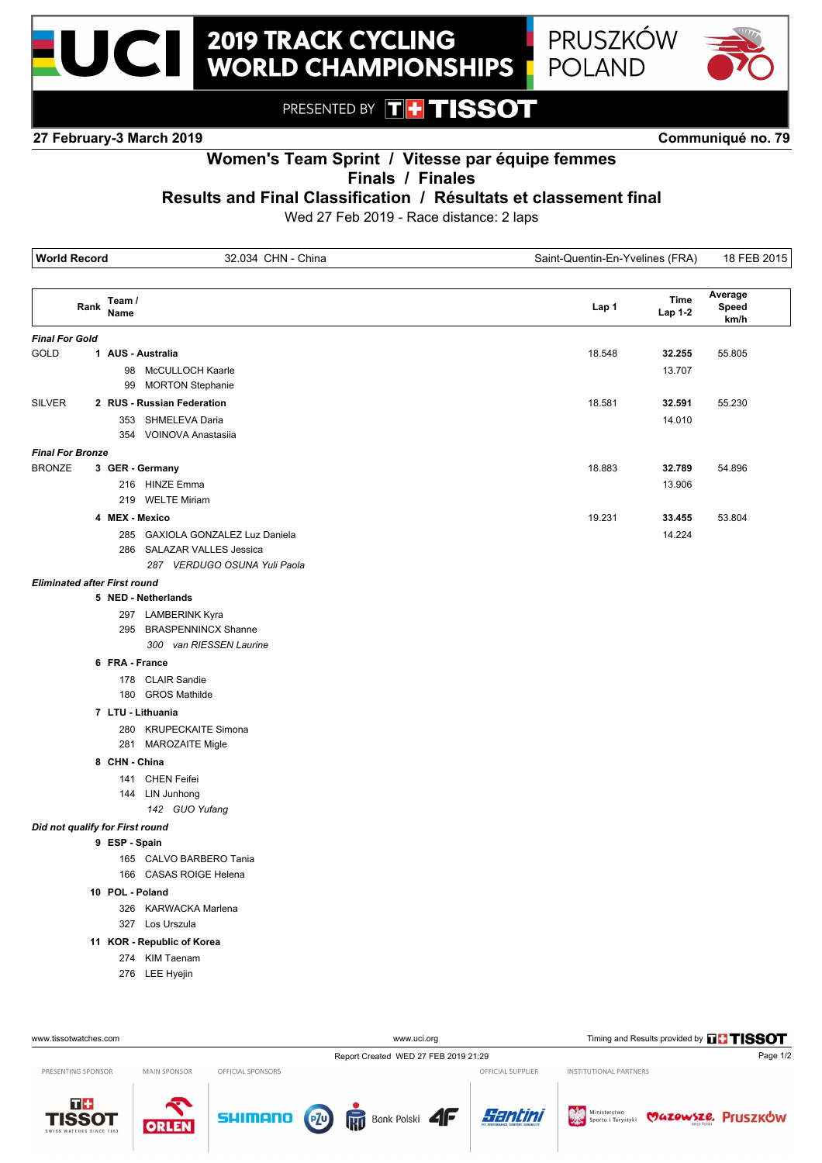



PRESENTED BY THTISSOT

**27 February-3 March 2019 Communiqué no. 79**



## **Women's Team Sprint / Vitesse par équipe femmes**

**Finals / Finales**

**Results and Final Classification / Résultats et classement final**

Wed 27 Feb 2019 - Race distance: 2 laps

|                         |      | <b>World Record</b><br>32.034 CHN - China                                                                        |  |        |                  |                          |
|-------------------------|------|------------------------------------------------------------------------------------------------------------------|--|--------|------------------|--------------------------|
|                         | Rank | Team /<br>Name                                                                                                   |  | Lap 1  | Time<br>Lap 1-2  | Average<br>Speed<br>km/h |
| <b>Final For Gold</b>   |      |                                                                                                                  |  |        |                  |                          |
| <b>GOLD</b>             |      | 1 AUS - Australia<br>98 McCULLOCH Kaarle<br><b>MORTON Stephanie</b><br>99                                        |  | 18.548 | 32.255<br>13.707 | 55.805                   |
| <b>SILVER</b>           |      | 2 RUS - Russian Federation<br>353 SHMELEVA Daria<br>354 VOINOVA Anastasija                                       |  | 18.581 | 32.591<br>14.010 | 55.230                   |
| <b>Final For Bronze</b> |      |                                                                                                                  |  |        |                  |                          |
| <b>BRONZE</b>           |      | 3 GER - Germany<br>216 HINZE Emma<br>219 WELTE Miriam                                                            |  | 18.883 | 32.789<br>13.906 | 54.896                   |
|                         |      | 4 MEX - Mexico<br>285 GAXIOLA GONZALEZ Luz Daniela<br>286 SALAZAR VALLES Jessica<br>287 VERDUGO OSUNA Yuli Paola |  | 19.231 | 33.455<br>14.224 | 53.804                   |
|                         |      | <b>Eliminated after First round</b>                                                                              |  |        |                  |                          |
|                         |      | 5 NED - Netherlands                                                                                              |  |        |                  |                          |
|                         |      | 297 LAMBERINK Kyra<br>295 BRASPENNINCX Shanne<br>300 van RIESSEN Laurine                                         |  |        |                  |                          |
|                         |      | 6 FRA - France                                                                                                   |  |        |                  |                          |
|                         |      | 178 CLAIR Sandie<br>180 GROS Mathilde                                                                            |  |        |                  |                          |
|                         |      | 7 LTU - Lithuania<br>280 KRUPECKAITE Simona<br>281 MAROZAITE Migle                                               |  |        |                  |                          |
|                         |      | 8 CHN - China                                                                                                    |  |        |                  |                          |
|                         |      | 141 CHEN Feifei<br>144 LIN Junhong<br>142 GUO Yufang                                                             |  |        |                  |                          |
|                         |      | Did not qualify for First round                                                                                  |  |        |                  |                          |
|                         |      | 9 ESP - Spain<br>165 CALVO BARBERO Tania<br>166 CASAS ROIGE Helena                                               |  |        |                  |                          |
|                         |      | 10 POL - Poland                                                                                                  |  |        |                  |                          |
|                         |      | 326 KARWACKA Marlena<br>327 Los Urszula                                                                          |  |        |                  |                          |
|                         |      | 11 KOR - Republic of Korea                                                                                       |  |        |                  |                          |
|                         |      | 274 KIM Taenam<br>276 LEE Hyejin                                                                                 |  |        |                  |                          |

www.tissotwatches.com www.ti.org Timing and Results provided by **THISSOT** Report Created WED 27 FEB 2019 21:29 Page 1/2 OFFICIAL SUPPLIER INSTITUTIONAL PARTNERS PRESENTING SPONSOR MAIN SPONSOR OFFICIAL SPONSORS



ORLE